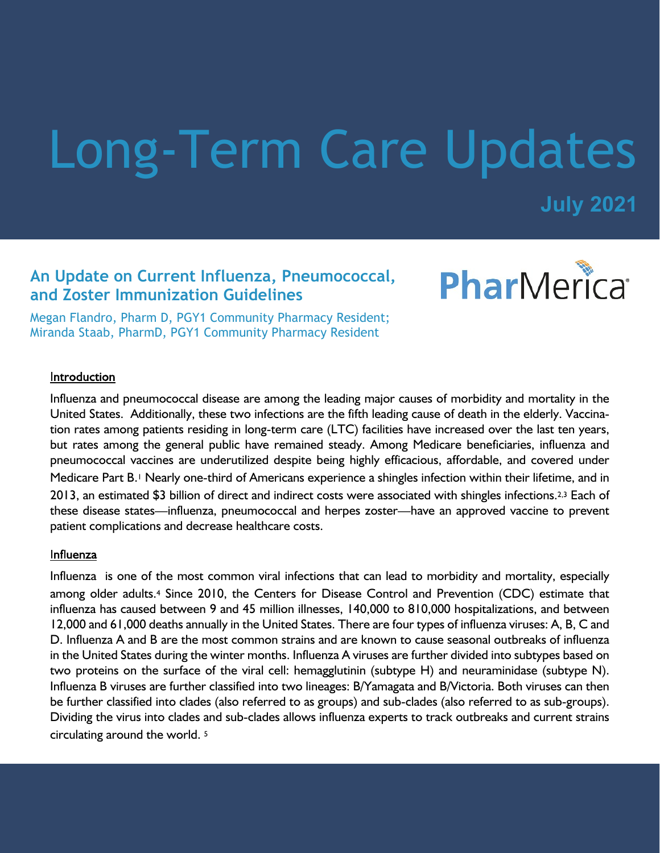# Long-Term Care Updates

**July 2021**

# **An Update on Current Influenza, Pneumococcal, and Zoster Immunization Guidelines**

PharMerica®

Megan Flandro, Pharm D, PGY1 Community Pharmacy Resident; Miranda Staab, PharmD, PGY1 Community Pharmacy Resident

#### Introduction

Influenza and pneumococcal disease are among the leading major causes of morbidity and mortality in the United States. Additionally, these two infections are the fifth leading cause of death in the elderly. Vaccination rates among patients residing in long-term care (LTC) facilities have increased over the last ten years, but rates among the general public have remained steady. Among Medicare beneficiaries, influenza and pneumococcal vaccines are underutilized despite being highly efficacious, affordable, and covered under Medicare Part B.1 Nearly one-third of Americans experience a shingles infection within their lifetime, and in 2013, an estimated \$3 billion of direct and indirect costs were associated with shingles infections.2,3 Each of these disease states—influenza, pneumococcal and herpes zoster—have an approved vaccine to prevent patient complications and decrease healthcare costs.

#### Influenza

Influenza is one of the most common viral infections that can lead to morbidity and mortality, especially among older adults.4 Since 2010, the Centers for Disease Control and Prevention (CDC) estimate that influenza has caused between 9 and 45 million illnesses, 140,000 to 810,000 hospitalizations, and between 12,000 and 61,000 deaths annually in the United States. There are four types of influenza viruses: A, B, C and D. Influenza A and B are the most common strains and are known to cause seasonal outbreaks of influenza in the United States during the winter months. Influenza A viruses are further divided into subtypes based on two proteins on the surface of the viral cell: hemagglutinin (subtype H) and neuraminidase (subtype N). Influenza B viruses are further classified into two lineages: B/Yamagata and B/Victoria. Both viruses can then be further classified into clades (also referred to as groups) and sub-clades (also referred to as sub-groups). Dividing the virus into clades and sub-clades allows influenza experts to track outbreaks and current strains circulating around the world. <sup>5</sup>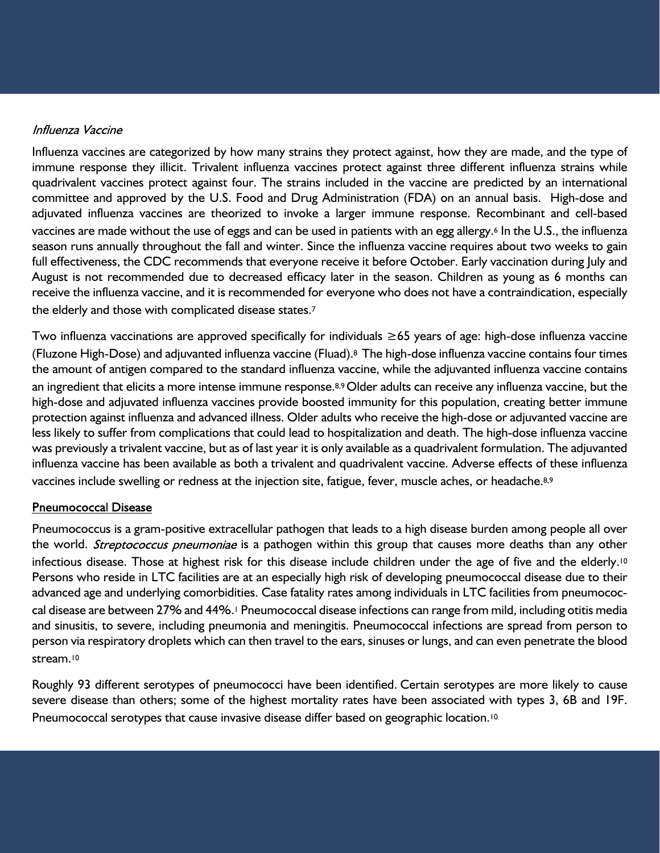#### Influenza Vaccine

Influenza vaccines are categorized by how many strains they protect against, how they are made, and the type of immune response they illicit. Trivalent influenza vaccines protect against three different influenza strains while quadrivalent vaccines protect against four. The strains included in the vaccine are predicted by an international committee and approved by the U.S. Food and Drug Administration (FDA) on an annual basis. High-dose and adjuvated influenza vaccines are theorized to invoke a larger immune response. Recombinant and cell-based vaccines are made without the use of eggs and can be used in patients with an egg allergy.<sup>6</sup> In the U.S., the influenza season runs annually throughout the fall and winter. Since the influenza vaccine requires about two weeks to gain full effectiveness, the CDC recommends that everyone receive it before October. Early vaccination during July and August is not recommended due to decreased efficacy later in the season. Children as young as 6 months can receive the influenza vaccine, and it is recommended for everyone who does not have a contraindication, especially the elderly and those with complicated disease states.<sup>7</sup>

Two influenza vaccinations are approved specifically for individuals ≥65 years of age: high-dose influenza vaccine (Fluzone High-Dose) and adjuvanted influenza vaccine (Fluad).8 The high-dose influenza vaccine contains four times the amount of antigen compared to the standard influenza vaccine, while the adjuvanted influenza vaccine contains an ingredient that elicits a more intense immune response.<sup>8,9</sup> Older adults can receive any influenza vaccine, but the high-dose and adjuvated influenza vaccines provide boosted immunity for this population, creating better immune protection against influenza and advanced illness. Older adults who receive the high-dose or adjuvanted vaccine are less likely to suffer from complications that could lead to hospitalization and death. The high-dose influenza vaccine was previously a trivalent vaccine, but as of last year it is only available as a quadrivalent formulation. The adjuvanted influenza vaccine has been available as both a trivalent and quadrivalent vaccine. Adverse effects of these influenza vaccines include swelling or redness at the injection site, fatigue, fever, muscle aches, or headache.8,9

#### **Pneumococcal Disease**

Pneumococcus is a gram-positive extracellular pathogen that leads to a high disease burden among people all over the world. Streptococcus pneumoniae is a pathogen within this group that causes more deaths than any other infectious disease. Those at highest risk for this disease include children under the age of five and the elderly.<sup>10</sup> Persons who reside in LTC facilities are at an especially high risk of developing pneumococcal disease due to their advanced age and underlying comorbidities. Case fatality rates among individuals in LTC facilities from pneumococcal disease are between 27% and 44%.<sup>1</sup> Pneumococcal disease infections can range from mild, including otitis media and sinusitis, to severe, including pneumonia and meningitis. Pneumococcal infections are spread from person to person via respiratory droplets which can then travel to the ears, sinuses or lungs, and can even penetrate the blood stream.<sup>10</sup>

Roughly 93 different serotypes of pneumococci have been identified. Certain serotypes are more likely to cause severe disease than others; some of the highest mortality rates have been associated with types 3, 6B and 19F. Pneumococcal serotypes that cause invasive disease differ based on geographic location.<sup>10</sup>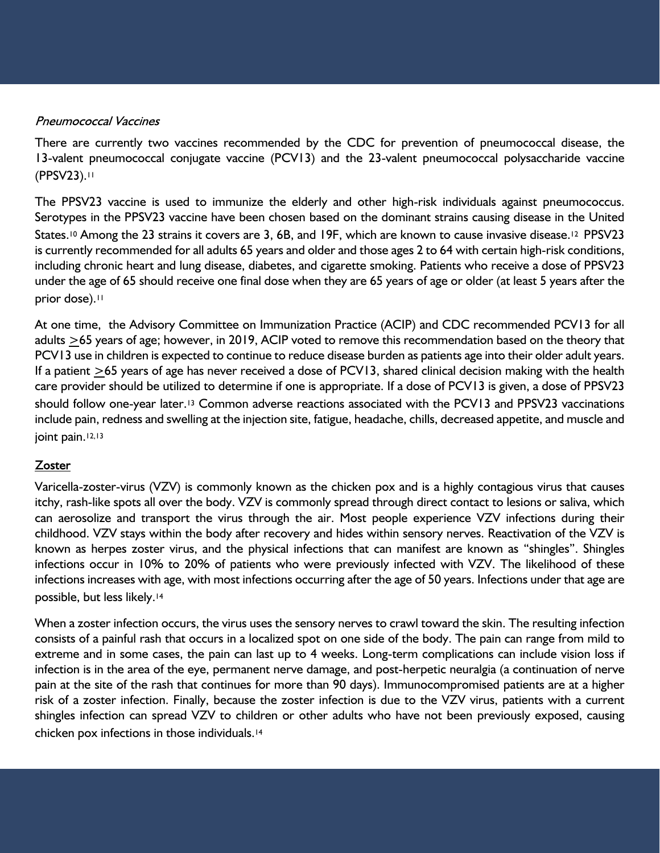#### **Pneumococcal Vaccines**

There are currently two vaccines recommended by the CDC for prevention of pneumococcal disease, the 13-valent pneumococcal conjugate vaccine (PCV13) and the 23-valent pneumococcal polysaccharide vaccine (PPSV23).<sup>11</sup>

The PPSV23 vaccine is used to immunize the elderly and other high-risk individuals against pneumococcus. Serotypes in the PPSV23 vaccine have been chosen based on the dominant strains causing disease in the United States.<sup>10</sup> Among the 23 strains it covers are 3, 6B, and 19F, which are known to cause invasive disease.<sup>12</sup> PPSV23 is currently recommended for all adults 65 years and older and those ages 2 to 64 with certain high-risk conditions, including chronic heart and lung disease, diabetes, and cigarette smoking. Patients who receive a dose of PPSV23 under the age of 65 should receive one final dose when they are 65 years of age or older (at least 5 years after the prior dose).<sup>11</sup>

At one time, the Advisory Committee on Immunization Practice (ACIP) and CDC recommended PCV13 for all adults >65 years of age; however, in 2019, ACIP voted to remove this recommendation based on the theory that PCV13 use in children is expected to continue to reduce disease burden as patients age into their older adult years. If a patient >65 years of age has never received a dose of PCV13, shared clinical decision making with the health care provider should be utilized to determine if one is appropriate. If a dose of PCV13 is given, a dose of PPSV23 should follow one-year later.13 Common adverse reactions associated with the PCV13 and PPSV23 vaccinations include pain, redness and swelling at the injection site, fatigue, headache, chills, decreased appetite, and muscle and joint pain.<sup>12,13</sup>

#### **Zoster**

Varicella-zoster-virus (VZV) is commonly known as the chicken pox and is a highly contagious virus that causes itchy, rash-like spots all over the body. VZV is commonly spread through direct contact to lesions or saliva, which can aerosolize and transport the virus through the air. Most people experience VZV infections during their childhood. VZV stays within the body after recovery and hides within sensory nerves. Reactivation of the VZV is known as herpes zoster virus, and the physical infections that can manifest are known as "shingles". Shingles infections occur in 10% to 20% of patients who were previously infected with VZV. The likelihood of these infections increases with age, with most infections occurring after the age of 50 years. Infections under that age are possible, but less likely.<sup>14</sup>

When a zoster infection occurs, the virus uses the sensory nerves to crawl toward the skin. The resulting infection consists of a painful rash that occurs in a localized spot on one side of the body. The pain can range from mild to extreme and in some cases, the pain can last up to 4 weeks. Long-term complications can include vision loss if infection is in the area of the eye, permanent nerve damage, and post-herpetic neuralgia (a continuation of nerve pain at the site of the rash that continues for more than 90 days). Immunocompromised patients are at a higher risk of a zoster infection. Finally, because the zoster infection is due to the VZV virus, patients with a current shingles infection can spread VZV to children or other adults who have not been previously exposed, causing chicken pox infections in those individuals.14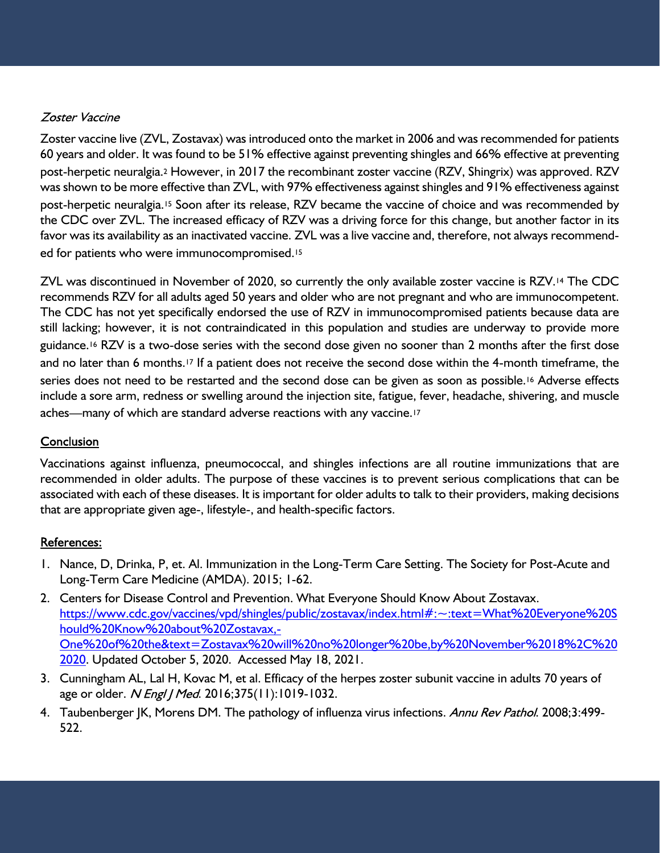# Zoster Vaccine

Zoster vaccine live (ZVL, Zostavax) was introduced onto the market in 2006 and was recommended for patients 60 years and older. It was found to be 51% effective against preventing shingles and 66% effective at preventing post-herpetic neuralgia.2 However, in 2017 the recombinant zoster vaccine (RZV, Shingrix) was approved. RZV was shown to be more effective than ZVL, with 97% effectiveness against shingles and 91% effectiveness against post-herpetic neuralgia.15 Soon after its release, RZV became the vaccine of choice and was recommended by the CDC over ZVL. The increased efficacy of RZV was a driving force for this change, but another factor in its favor was its availability as an inactivated vaccine. ZVL was a live vaccine and, therefore, not always recommended for patients who were immunocompromised.<sup>15</sup>

ZVL was discontinued in November of 2020, so currently the only available zoster vaccine is RZV.14 The CDC recommends RZV for all adults aged 50 years and older who are not pregnant and who are immunocompetent. The CDC has not yet specifically endorsed the use of RZV in immunocompromised patients because data are still lacking; however, it is not contraindicated in this population and studies are underway to provide more guidance.16 RZV is a two-dose series with the second dose given no sooner than 2 months after the first dose and no later than 6 months.<sup>17</sup> If a patient does not receive the second dose within the 4-month timeframe, the series does not need to be restarted and the second dose can be given as soon as possible.<sup>16</sup> Adverse effects include a sore arm, redness or swelling around the injection site, fatigue, fever, headache, shivering, and muscle aches—many of which are standard adverse reactions with any vaccine.<sup>17</sup>

## Conclusion

Vaccinations against influenza, pneumococcal, and shingles infections are all routine immunizations that are recommended in older adults. The purpose of these vaccines is to prevent serious complications that can be associated with each of these diseases. It is important for older adults to talk to their providers, making decisions that are appropriate given age-, lifestyle-, and health-specific factors.

## **References:**

- 1. Nance, D, Drinka, P, et. Al. Immunization in the Long-Term Care Setting. The Society for Post-Acute and Long-Term Care Medicine (AMDA). 2015; 1-62.
- 2. Centers for Disease Control and Prevention. What Everyone Should Know About Zostavax. https://www.cdc.gov/vaccines/vpd/shingles/public/zostavax/index.html#:~:text=What%20Everyone%20S hould%20Know%20about%20Zostavax,- One%20of%20the&text=Zostavax%20will%20no%20longer%20be,by%20November%2018%2C%20 2020. Updated October 5, 2020. Accessed May 18, 2021.
- 3. Cunningham AL, Lal H, Kovac M, et al. Efficacy of the herpes zoster subunit vaccine in adults 70 years of age or older. *N Engl | Med*. 2016;375(11):1019-1032.
- 4. Taubenberger JK, Morens DM. The pathology of influenza virus infections. Annu Rev Pathol. 2008;3:499-522.